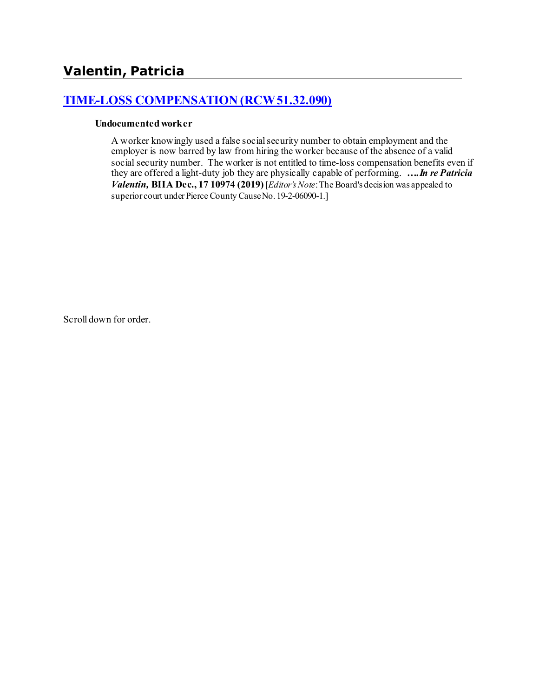# **[TIME-LOSS COMPENSATION \(RCW 51.32.090\)](http://www.biia.wa.gov/SDSubjectIndex.html#TIME_LOSS_COMPENSATION)**

#### **Undocumented worker**

A worker knowingly used a false social security number to obtain employment and the employer is now barred by law from hiring the worker because of the absence of a valid social security number. The worker is not entitled to time-loss compensation benefits even if they are offered a light-duty job they are physically capable of performing. *….In re Patricia Valentin*, **BIIA Dec.**, 17 10974 (2019) [*Editor's Note:* The Board's decision was appealed to superior court under Pierce County Cause No. 19-2-06090-1.]

Scroll down for order.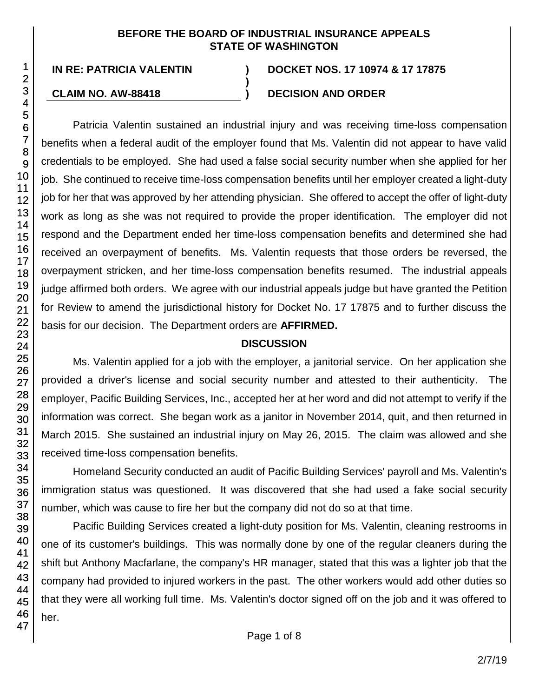#### **BEFORE THE BOARD OF INDUSTRIAL INSURANCE APPEALS STATE OF WASHINGTON**

**)**

#### **IN RE: PATRICIA VALENTIN ) DOCKET NOS. 17 10974 & 17 17875**

## **CLAIM NO. AW-88418 ) DECISION AND ORDER**

Patricia Valentin sustained an industrial injury and was receiving time-loss compensation benefits when a federal audit of the employer found that Ms. Valentin did not appear to have valid credentials to be employed. She had used a false social security number when she applied for her job. She continued to receive time-loss compensation benefits until her employer created a light-duty job for her that was approved by her attending physician. She offered to accept the offer of light-duty work as long as she was not required to provide the proper identification. The employer did not respond and the Department ended her time-loss compensation benefits and determined she had received an overpayment of benefits. Ms. Valentin requests that those orders be reversed, the overpayment stricken, and her time-loss compensation benefits resumed. The industrial appeals judge affirmed both orders. We agree with our industrial appeals judge but have granted the Petition for Review to amend the jurisdictional history for Docket No. 17 17875 and to further discuss the basis for our decision. The Department orders are **AFFIRMED.**

#### **DISCUSSION**

Ms. Valentin applied for a job with the employer, a janitorial service. On her application she provided a driver's license and social security number and attested to their authenticity. The employer, Pacific Building Services, Inc., accepted her at her word and did not attempt to verify if the information was correct. She began work as a janitor in November 2014, quit, and then returned in March 2015. She sustained an industrial injury on May 26, 2015. The claim was allowed and she received time-loss compensation benefits.

Homeland Security conducted an audit of Pacific Building Services' payroll and Ms. Valentin's immigration status was questioned. It was discovered that she had used a fake social security number, which was cause to fire her but the company did not do so at that time.

Pacific Building Services created a light-duty position for Ms. Valentin, cleaning restrooms in one of its customer's buildings. This was normally done by one of the regular cleaners during the shift but Anthony Macfarlane, the company's HR manager, stated that this was a lighter job that the company had provided to injured workers in the past. The other workers would add other duties so that they were all working full time. Ms. Valentin's doctor signed off on the job and it was offered to her.

1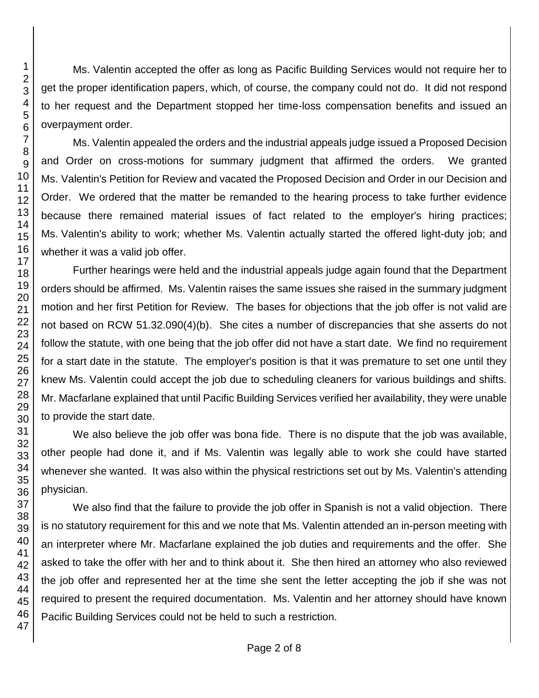Ms. Valentin accepted the offer as long as Pacific Building Services would not require her to get the proper identification papers, which, of course, the company could not do. It did not respond to her request and the Department stopped her time-loss compensation benefits and issued an overpayment order.

Ms. Valentin appealed the orders and the industrial appeals judge issued a Proposed Decision and Order on cross-motions for summary judgment that affirmed the orders. We granted Ms. Valentin's Petition for Review and vacated the Proposed Decision and Order in our Decision and Order. We ordered that the matter be remanded to the hearing process to take further evidence because there remained material issues of fact related to the employer's hiring practices; Ms. Valentin's ability to work; whether Ms. Valentin actually started the offered light-duty job; and whether it was a valid job offer.

Further hearings were held and the industrial appeals judge again found that the Department orders should be affirmed. Ms. Valentin raises the same issues she raised in the summary judgment motion and her first Petition for Review. The bases for objections that the job offer is not valid are not based on RCW 51.32.090(4)(b). She cites a number of discrepancies that she asserts do not follow the statute, with one being that the job offer did not have a start date. We find no requirement for a start date in the statute. The employer's position is that it was premature to set one until they knew Ms. Valentin could accept the job due to scheduling cleaners for various buildings and shifts. Mr. Macfarlane explained that until Pacific Building Services verified her availability, they were unable to provide the start date.

We also believe the job offer was bona fide. There is no dispute that the job was available, other people had done it, and if Ms. Valentin was legally able to work she could have started whenever she wanted. It was also within the physical restrictions set out by Ms. Valentin's attending physician.

We also find that the failure to provide the job offer in Spanish is not a valid objection. There is no statutory requirement for this and we note that Ms. Valentin attended an in-person meeting with an interpreter where Mr. Macfarlane explained the job duties and requirements and the offer. She asked to take the offer with her and to think about it. She then hired an attorney who also reviewed the job offer and represented her at the time she sent the letter accepting the job if she was not required to present the required documentation. Ms. Valentin and her attorney should have known Pacific Building Services could not be held to such a restriction.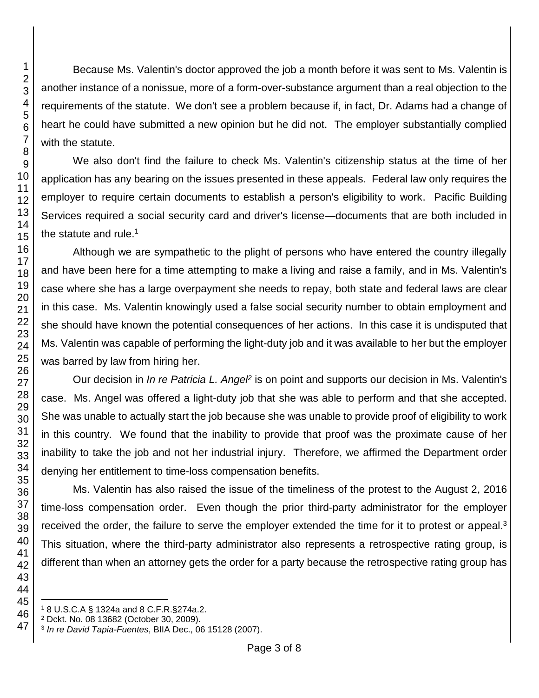Because Ms. Valentin's doctor approved the job a month before it was sent to Ms. Valentin is another instance of a nonissue, more of a form-over-substance argument than a real objection to the requirements of the statute. We don't see a problem because if, in fact, Dr. Adams had a change of heart he could have submitted a new opinion but he did not. The employer substantially complied with the statute.

We also don't find the failure to check Ms. Valentin's citizenship status at the time of her application has any bearing on the issues presented in these appeals. Federal law only requires the employer to require certain documents to establish a person's eligibility to work. Pacific Building Services required a social security card and driver's license—documents that are both included in the statute and rule. $1$ 

Although we are sympathetic to the plight of persons who have entered the country illegally and have been here for a time attempting to make a living and raise a family, and in Ms. Valentin's case where she has a large overpayment she needs to repay, both state and federal laws are clear in this case. Ms. Valentin knowingly used a false social security number to obtain employment and she should have known the potential consequences of her actions. In this case it is undisputed that Ms. Valentin was capable of performing the light-duty job and it was available to her but the employer was barred by law from hiring her.

Our decision in *In re Patricia L. Angel*<sup>2</sup> is on point and supports our decision in Ms. Valentin's case. Ms. Angel was offered a light-duty job that she was able to perform and that she accepted. She was unable to actually start the job because she was unable to provide proof of eligibility to work in this country. We found that the inability to provide that proof was the proximate cause of her inability to take the job and not her industrial injury. Therefore, we affirmed the Department order denying her entitlement to time-loss compensation benefits.

Ms. Valentin has also raised the issue of the timeliness of the protest to the August 2, 2016 time-loss compensation order. Even though the prior third-party administrator for the employer received the order, the failure to serve the employer extended the time for it to protest or appeal.<sup>3</sup> This situation, where the third-party administrator also represents a retrospective rating group, is different than when an attorney gets the order for a party because the retrospective rating group has

l 8 U.S.C.A § 1324a and 8 C.F.R.§274a.2.

Dckt. No. 08 13682 (October 30, 2009).

*In re David Tapia-Fuentes*, BIIA Dec., 06 15128 (2007).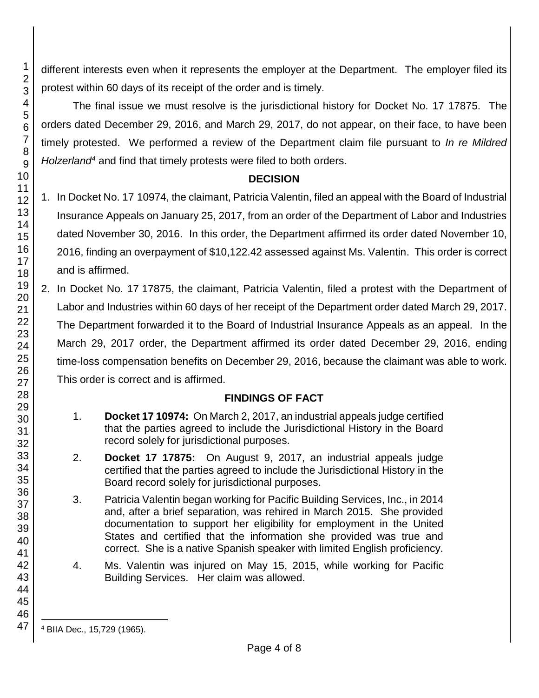different interests even when it represents the employer at the Department. The employer filed its protest within 60 days of its receipt of the order and is timely.

The final issue we must resolve is the jurisdictional history for Docket No. 17 17875. The orders dated December 29, 2016, and March 29, 2017, do not appear, on their face, to have been timely protested. We performed a review of the Department claim file pursuant to *In re Mildred Holzerland<sup>4</sup>* and find that timely protests were filed to both orders.

## **DECISION**

- 1. In Docket No. 17 10974, the claimant, Patricia Valentin, filed an appeal with the Board of Industrial Insurance Appeals on January 25, 2017, from an order of the Department of Labor and Industries dated November 30, 2016. In this order, the Department affirmed its order dated November 10, 2016, finding an overpayment of \$10,122.42 assessed against Ms. Valentin. This order is correct and is affirmed.
- 2. In Docket No. 17 17875, the claimant, Patricia Valentin, filed a protest with the Department of Labor and Industries within 60 days of her receipt of the Department order dated March 29, 2017. The Department forwarded it to the Board of Industrial Insurance Appeals as an appeal. In the March 29, 2017 order, the Department affirmed its order dated December 29, 2016, ending time-loss compensation benefits on December 29, 2016, because the claimant was able to work. This order is correct and is affirmed.

## **FINDINGS OF FACT**

- 1. **Docket 17 10974:** On March 2, 2017, an industrial appeals judge certified that the parties agreed to include the Jurisdictional History in the Board record solely for jurisdictional purposes.
- 2. **Docket 17 17875:** On August 9, 2017, an industrial appeals judge certified that the parties agreed to include the Jurisdictional History in the Board record solely for jurisdictional purposes.
- 3. Patricia Valentin began working for Pacific Building Services, Inc., in 2014 and, after a brief separation, was rehired in March 2015. She provided documentation to support her eligibility for employment in the United States and certified that the information she provided was true and correct. She is a native Spanish speaker with limited English proficiency.
- 4. Ms. Valentin was injured on May 15, 2015, while working for Pacific Building Services. Her claim was allowed.

47

<sup>4</sup> BIIA Dec., 15,729 (1965).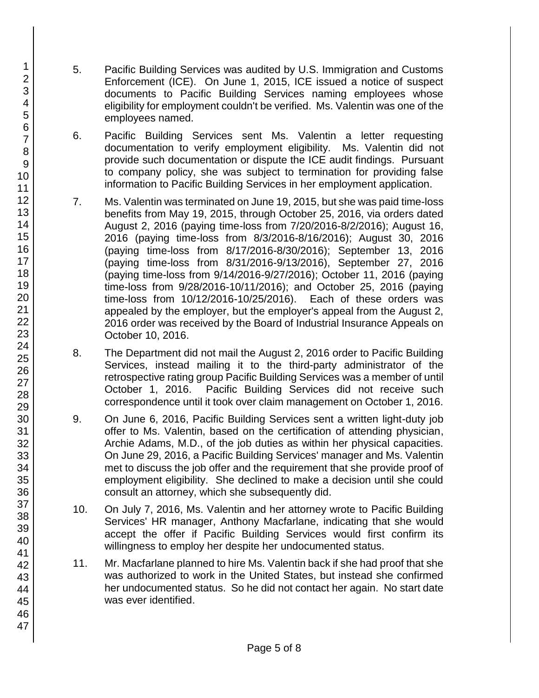- 5. Pacific Building Services was audited by U.S. Immigration and Customs Enforcement (ICE). On June 1, 2015, ICE issued a notice of suspect documents to Pacific Building Services naming employees whose eligibility for employment couldn't be verified. Ms. Valentin was one of the employees named.
- 6. Pacific Building Services sent Ms. Valentin a letter requesting documentation to verify employment eligibility. Ms. Valentin did not provide such documentation or dispute the ICE audit findings. Pursuant to company policy, she was subject to termination for providing false information to Pacific Building Services in her employment application.
- 7. Ms. Valentin was terminated on June 19, 2015, but she was paid time-loss benefits from May 19, 2015, through October 25, 2016, via orders dated August 2, 2016 (paying time-loss from 7/20/2016-8/2/2016); August 16, 2016 (paying time-loss from 8/3/2016-8/16/2016); August 30, 2016 (paying time-loss from 8/17/2016-8/30/2016); September 13, 2016 (paying time-loss from 8/31/2016-9/13/2016), September 27, 2016 (paying time-loss from 9/14/2016-9/27/2016); October 11, 2016 (paying time-loss from 9/28/2016-10/11/2016); and October 25, 2016 (paying time-loss from 10/12/2016-10/25/2016). Each of these orders was appealed by the employer, but the employer's appeal from the August 2, 2016 order was received by the Board of Industrial Insurance Appeals on October 10, 2016.
- 8. The Department did not mail the August 2, 2016 order to Pacific Building Services, instead mailing it to the third-party administrator of the retrospective rating group Pacific Building Services was a member of until October 1, 2016. Pacific Building Services did not receive such correspondence until it took over claim management on October 1, 2016.
- 9. On June 6, 2016, Pacific Building Services sent a written light-duty job offer to Ms. Valentin, based on the certification of attending physician, Archie Adams, M.D., of the job duties as within her physical capacities. On June 29, 2016, a Pacific Building Services' manager and Ms. Valentin met to discuss the job offer and the requirement that she provide proof of employment eligibility. She declined to make a decision until she could consult an attorney, which she subsequently did.
- 10. On July 7, 2016, Ms. Valentin and her attorney wrote to Pacific Building Services' HR manager, Anthony Macfarlane, indicating that she would accept the offer if Pacific Building Services would first confirm its willingness to employ her despite her undocumented status.
- 11. Mr. Macfarlane planned to hire Ms. Valentin back if she had proof that she was authorized to work in the United States, but instead she confirmed her undocumented status. So he did not contact her again. No start date was ever identified.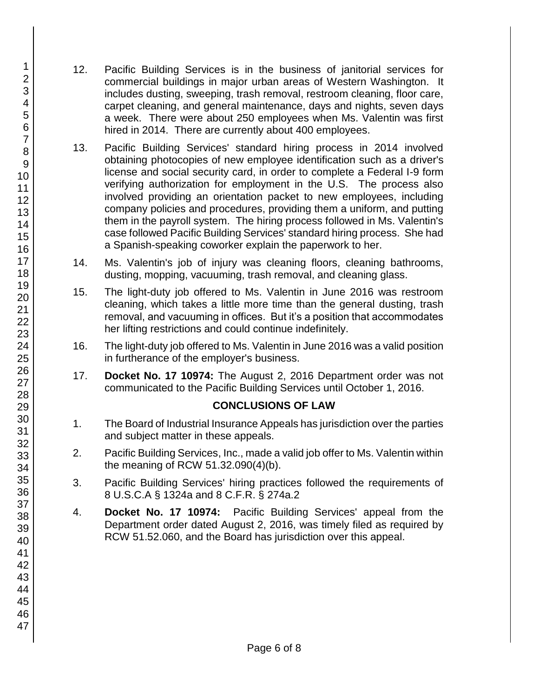- 12. Pacific Building Services is in the business of janitorial services for commercial buildings in major urban areas of Western Washington. It includes dusting, sweeping, trash removal, restroom cleaning, floor care, carpet cleaning, and general maintenance, days and nights, seven days a week. There were about 250 employees when Ms. Valentin was first hired in 2014. There are currently about 400 employees.
- 13. Pacific Building Services' standard hiring process in 2014 involved obtaining photocopies of new employee identification such as a driver's license and social security card, in order to complete a Federal I-9 form verifying authorization for employment in the U.S. The process also involved providing an orientation packet to new employees, including company policies and procedures, providing them a uniform, and putting them in the payroll system. The hiring process followed in Ms. Valentin's case followed Pacific Building Services' standard hiring process. She had a Spanish-speaking coworker explain the paperwork to her.
- 14. Ms. Valentin's job of injury was cleaning floors, cleaning bathrooms, dusting, mopping, vacuuming, trash removal, and cleaning glass.
- 15. The light-duty job offered to Ms. Valentin in June 2016 was restroom cleaning, which takes a little more time than the general dusting, trash removal, and vacuuming in offices. But it's a position that accommodates her lifting restrictions and could continue indefinitely.
- 16. The light-duty job offered to Ms. Valentin in June 2016 was a valid position in furtherance of the employer's business.
- 17. **Docket No. 17 10974:** The August 2, 2016 Department order was not communicated to the Pacific Building Services until October 1, 2016.

## **CONCLUSIONS OF LAW**

- 1. The Board of Industrial Insurance Appeals has jurisdiction over the parties and subject matter in these appeals.
- 2. Pacific Building Services, Inc., made a valid job offer to Ms. Valentin within the meaning of RCW 51.32.090(4)(b).
- 3. Pacific Building Services' hiring practices followed the requirements of 8 U.S.C.A § 1324a and 8 C.F.R. § 274a.2
- 4. **Docket No. 17 10974:** Pacific Building Services' appeal from the Department order dated August 2, 2016, was timely filed as required by RCW 51.52.060, and the Board has jurisdiction over this appeal.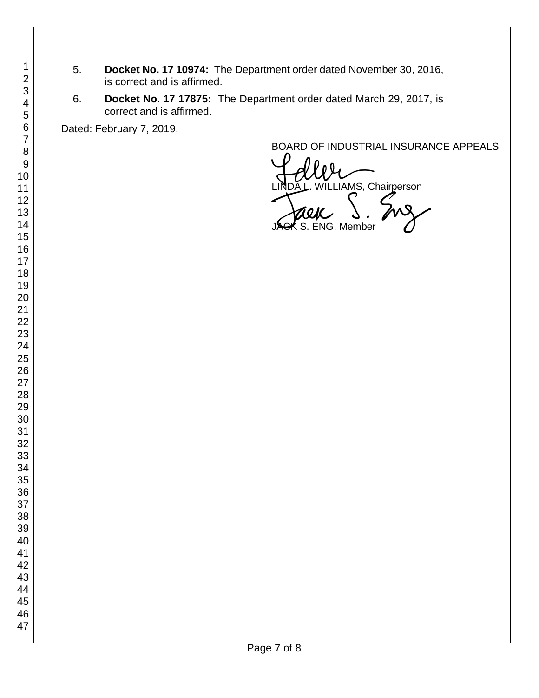- 5. **Docket No. 17 10974:** The Department order dated November 30, 2016, is correct and is affirmed.
- 6. **Docket No. 17 17875:** The Department order dated March 29, 2017, is correct and is affirmed.

Dated: February 7, 2019.

BOARD OF INDUSTRIAL INSURANCE APPEALS

BOARD OF INDUSTRIAL INSURAM<br>LINDA L. WILLIAMS, Chairperson<br>JAGK S. ENG, Member S. ENG, Member